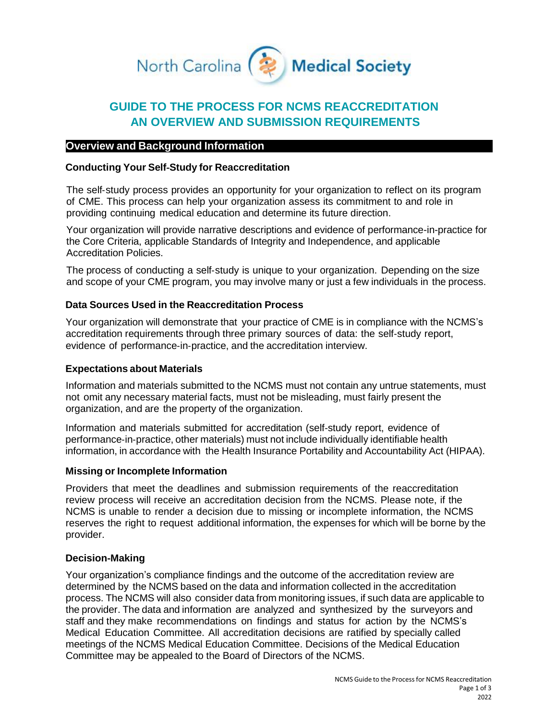

# **GUIDE TO THE PROCESS FOR NCMS REACCREDITATION AN OVERVIEW AND SUBMISSION REQUIREMENTS**

# **Overview and Background Information**

# **Conducting Your Self**‐**Study for Reaccreditation**

The self-study process provides an opportunity for your organization to reflect on its program of CME. This process can help your organization assess its commitment to and role in providing continuing medical education and determine its future direction.

Your organization will provide narrative descriptions and evidence of performance-in-practice for the Core Criteria, applicable Standards of Integrity and Independence, and applicable Accreditation Policies.

The process of conducting a self‐study is unique to your organization. Depending on the size and scope of your CME program, you may involve many or just a few individuals in the process.

# **Data Sources Used in the Reaccreditation Process**

Your organization will demonstrate that your practice of CME is in compliance with the NCMS's accreditation requirements through three primary sources of data: the self‐study report, evidence of performance‐in‐practice, and the accreditation interview.

## **Expectations about Materials**

Information and materials submitted to the NCMS must not contain any untrue statements, must not omit any necessary material facts, must not be misleading, must fairly present the organization, and are the property of the organization.

Information and materials submitted for accreditation (self‐study report, evidence of performance‐in‐practice, other materials) must not include individually identifiable health information, in accordance with the Health Insurance Portability and Accountability Act (HIPAA).

## **Missing or Incomplete Information**

Providers that meet the deadlines and submission requirements of the reaccreditation review process will receive an accreditation decision from the NCMS. Please note, if the NCMS is unable to render a decision due to missing or incomplete information, the NCMS reserves the right to request additional information, the expenses for which will be borne by the provider.

## **Decision**‐**Making**

Your organization's compliance findings and the outcome of the accreditation review are determined by the NCMS based on the data and information collected in the accreditation process. The NCMS will also consider data from monitoring issues, if such data are applicable to the provider. The data and information are analyzed and synthesized by the surveyors and staff and they make recommendations on findings and status for action by the NCMS's Medical Education Committee. All accreditation decisions are ratified by specially called meetings of the NCMS Medical Education Committee. Decisions of the Medical Education Committee may be appealed to the Board of Directors of the NCMS.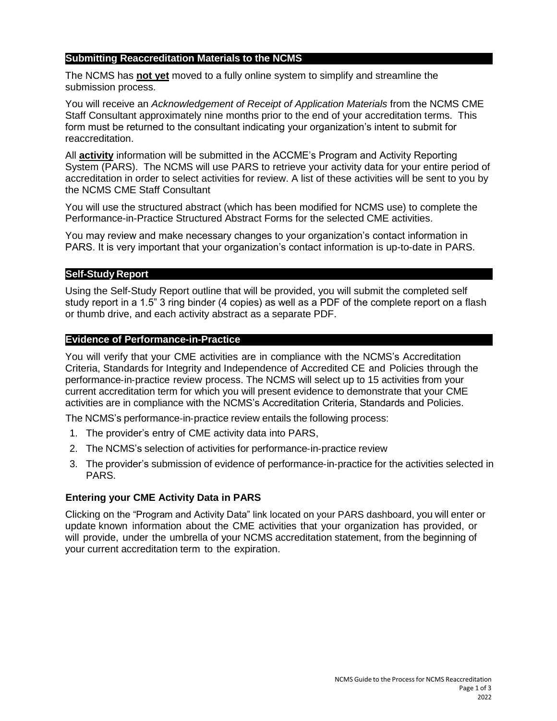# **Submitting Reaccreditation Materials to the NCMS**

The NCMS has **not yet** moved to a fully online system to simplify and streamline the submission process.

You will receive an *Acknowledgement of Receipt of Application Materials* from the NCMS CME Staff Consultant approximately nine months prior to the end of your accreditation terms. This form must be returned to the consultant indicating your organization's intent to submit for reaccreditation.

All **activity** information will be submitted in the ACCME's Program and Activity Reporting System (PARS). The NCMS will use PARS to retrieve your activity data for your entire period of accreditation in order to select activities for review. A list of these activities will be sent to you by the NCMS CME Staff Consultant

You will use the structured abstract (which has been modified for NCMS use) to complete the Performance-in-Practice Structured Abstract Forms for the selected CME activities.

You may review and make necessary changes to your organization's contact information in PARS. It is very important that your organization's contact information is up-to-date in PARS.

#### **Self**‐**Study Report**

Using the Self-Study Report outline that will be provided, you will submit the completed self study report in a 1.5" 3 ring binder (4 copies) as well as a PDF of the complete report on a flash or thumb drive, and each activity abstract as a separate PDF.

#### **Evidence of Performance-in-Practice**

You will verify that your CME activities are in compliance with the NCMS's Accreditation Criteria, Standards for Integrity and Independence of Accredited CE and Policies through the performance‐in‐practice review process. The NCMS will select up to 15 activities from your current accreditation term for which you will present evidence to demonstrate that your CME activities are in compliance with the NCMS's Accreditation Criteria, Standards and Policies.

The NCMS's performance‐in‐practice review entails the following process:

- 1. The provider's entry of CME activity data into PARS,
- 2. The NCMS's selection of activities for performance-in-practice review
- 3. The provider's submission of evidence of performance‐in‐practice for the activities selected in PARS.

## **Entering your CME Activity Data in PARS**

Clicking on the "Program and Activity Data" link located on your PARS dashboard, you will enter or update known information about the CME activities that your organization has provided, or will provide, under the umbrella of your NCMS accreditation statement, from the beginning of your current accreditation term to the expiration.